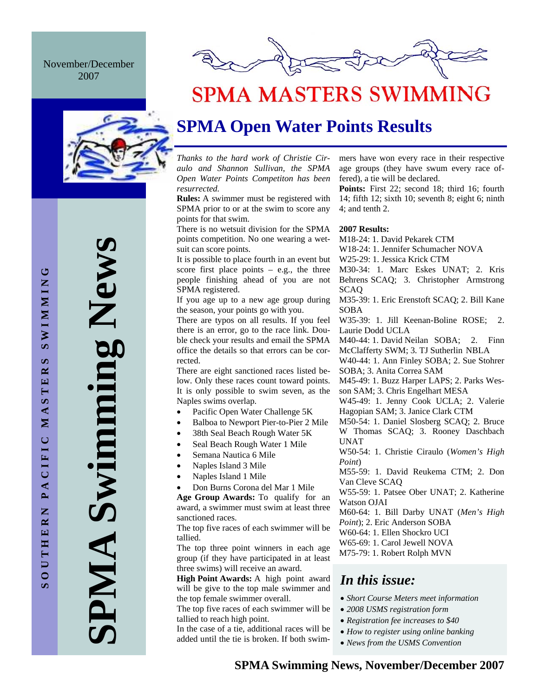November/December 2007



# **SPMA MASTERS SWIMMING**

# **SPMA Open Water Points Results**

*Thanks to the hard work of Christie Ciraulo and Shannon Sullivan, the SPMA Open Water Points Competiton has been resurrected.* 

**Rules:** A swimmer must be registered with SPMA prior to or at the swim to score any points for that swim.

There is no wetsuit division for the SPMA points competition. No one wearing a wetsuit can score points.

It is possible to place fourth in an event but score first place points – e.g., the three people finishing ahead of you are not SPMA registered.

If you age up to a new age group during the season, your points go with you.

There are typos on all results. If you feel there is an error, go to the race link. Double check your results and email the SPMA office the details so that errors can be corrected.

There are eight sanctioned races listed below. Only these races count toward points. It is only possible to swim seven, as the Naples swims overlap.

- Pacific Open Water Challenge 5K
- Balboa to Newport Pier-to-Pier 2 Mile
- 38th Seal Beach Rough Water 5K
- Seal Beach Rough Water 1 Mile
- Semana Nautica 6 Mile
- Naples Island 3 Mile
- Naples Island 1 Mile
- Don Burns Corona del Mar 1 Mile

**Age Group Awards:** To qualify for an award, a swimmer must swim at least three sanctioned races.

The top five races of each swimmer will be tallied.

The top three point winners in each age group (if they have participated in at least three swims) will receive an award.

**High Point Awards:** A high point award will be give to the top male swimmer and the top female swimmer overall.

The top five races of each swimmer will be tallied to reach high point.

In the case of a tie, additional races will be added until the tie is broken. If both swimmers have won every race in their respective age groups (they have swum every race offered), a tie will be declared.

Points: First 22; second 18; third 16; fourth 14; fifth 12; sixth 10; seventh 8; eight 6; ninth 4; and tenth 2.

#### **2007 Results:**

- M18-24: 1. David Pekarek CTM
- W18-24: 1. Jennifer Schumacher NOVA
- W25-29: 1. Jessica Krick CTM
- M30-34: 1. Marc Eskes UNAT; 2. Kris Behrens SCAQ; 3. Christopher Armstrong SCAQ
- M35-39: 1. Eric Erenstoft SCAQ; 2. Bill Kane SOBA
- W35-39: 1. Jill Keenan-Boline ROSE; 2. Laurie Dodd UCLA
- M40-44: 1. David Neilan SOBA; 2. Finn McClafferty SWM; 3. TJ Sutherlin NBLA
- W40-44: 1. Ann Finley SOBA; 2. Sue Stohrer SOBA; 3. Anita Correa SAM
- M45-49: 1. Buzz Harper LAPS; 2. Parks Wesson SAM; 3. Chris Engelhart MESA
- W45-49: 1. Jenny Cook UCLA; 2. Valerie Hagopian SAM; 3. Janice Clark CTM
- M50-54: 1. Daniel Slosberg SCAQ; 2. Bruce W Thomas SCAQ; 3. Rooney Daschbach UNAT
- W50-54: 1. Christie Ciraulo (*Women's High Point*)
- M55-59: 1. David Reukema CTM; 2. Don Van Cleve SCAQ
- W55-59: 1. Patsee Ober UNAT; 2. Katherine Watson OJAI
- M60-64: 1. Bill Darby UNAT (*Men's High Point*); 2. Eric Anderson SOBA
- W60-64: 1. Ellen Shockro UCI
- W65-69: 1. Carol Jewell NOVA
- M75-79: 1. Robert Rolph MVN

### *In this issue:*

- *Short Course Meters meet information*
- *2008 USMS registration form*
- *Registration fee increases to \$40*
- *How to register using online banking*
- *News from the USMS Convention*

**SPMA Swimming News** 

AMPI

Swimming New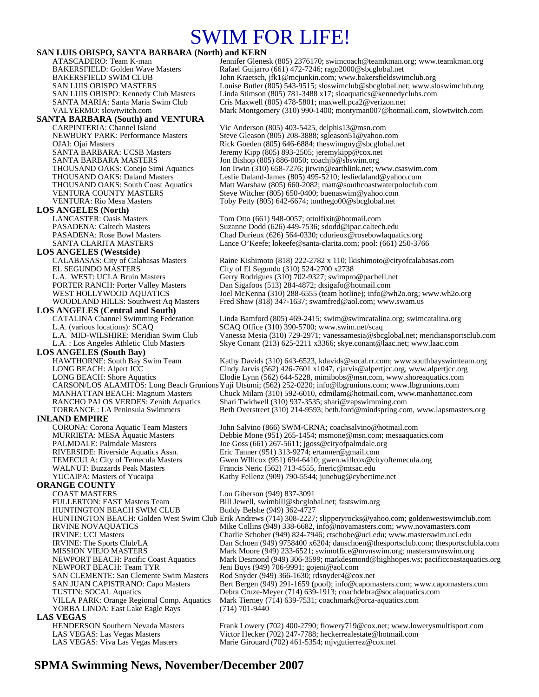# SWIM FOR LIFE!

#### **SAN LUIS OBISPO, SANTA BARBARA (North) and KERN**

## **SANTA BARBARA (South) and VENTURA**

**LOS ANGELES (North)** 

**LOS ANGELES (Westside)** EL SEGUNDO MÁSTERS City of El Segundo (310) 524-2700 x2738

## **LOS ANGELES (Central and South)**<br>CATALINA Channel Swimming Federation

**LOS ANGELES (South Bay)** 

**INLAND EMPIRE**<br>CORONA: Corona Aquatic Team Masters

## **ORANGE COUNTY**

COAST MASTERS<br>FULLERTON: FAST Masters Team Bill Jewell, swimbill@sbcglob HUNTINGTON BEACH SWIM CLUB Buddy Belshe (949) 362-4727 NEWPORT BEACH: Team TYR Jeni Buys (949) 706-9991; gojeni@aol.com<br>SAN CLEMENTE: San Clemente Swim Masters Rod Snyder (949) 366-1630; rdsnyder4@co: YORBA LINDA: East Lake Eagle Rays **LAS VEGAS**<br> **HENDERSON Southern Nevada Masters** 

ATASCADERO: Team K-man Jennifer Glenesk (805) 2376170; swimcoach@teamkman.org; www.teamkman.org BAKERSFIELD: Golden Wave Masters Rafael Guijarro (661) 472-7246; rago2000@sbcglobal.net<br>BAKERSFIELD SWIM CLUB John Kraetsch, jfk1@mcjunkin.com; www.bakersfieldswir John Kraetsch, jfk1@mcjunkin.com; www.bakersfieldswimclub.org SAN LUIS OBISPO MASTERS Louise Butler (805) 543-9515; sloswimclub@sbcglobal.net; www.sloswimclub.org SAN LUIS OBISPO: Kennedy Club Masters Linda Stimson (805) 781-3488 x17; sloaquatics@kennedyclubs.com SANTA MARIA: Santa Maria Swim Club Cris Maxwell (805) 478-5801; maxwell.pca2@verizon.net VALYERMO: slowtwitch.com Mark Montgomery (310) 990-1400; montyman007@hotmail.com, slowtwitch.com

Vic Anderson (805) 403-5425, delphis13@msn.com NEWBURY PARK: Performance Masters Steve Gleason (805) 208-3888; sgleason51@yahoo.com<br>OJAI: Ojai Masters Rick Goeden (805) 646-6884; theswimguy@sbcglobal.ne Rick Goeden (805) 646-6884; theswimguy@sbcglobal.net SANTA BARBARA: UCSB Masters Jeremy Kipp (805) 893-2505; jeremykipp@cox.net<br>SANTA BARBARA MASTERS Jon Bishop (805) 886-0050; coachib@sbswim.org Jon Bishop (805) 886-0050; coachjb@sbswim.org THOUSAND OAKS: Conejo Simi Aquatics Jon Irwin (310) 658-7276; jirwin@earthlink.net; www.csaswim.com THOUSAND OAKS: Daland Masters Leslie Daland-James (805) 495-5210; lesliedaland@yahoo.com<br>THOUSAND OAKS: South Coast Aquatics Matt Warshaw (805) 660-2082; matt@southcoastwaterpoloclub THOUSAND OAKS: South Coast Aquatics Matt Warshaw (805) 660-2082; matt@southcoastwaterpoloclub.com<br>VENTURA COUNTY MASTERS Steve Witcher (805) 650-0400; buenaswim@yahoo.com Steve Witcher (805) 650-0400; buenaswim@yahoo.com VENTURA: Rio Mesa Masters Toby Petty (805) 642-6674; tonthego00@sbcglobal.net

Tom Otto (661) 948-0057; ottolfixit@hotmail.com PASADENA: Caltech Masters Suzanne Dodd (626) 449-7536; sdodd@ipac.caltech.edu<br>PASADENA: Rose Bowl Masters Chad Durieux (626) 564-0330: cdurieux @rosebowlaquat Chad Durieux (626) 564-0330; cdurieux @rosebowlaquatics.org SANTA CLARITA MASTERS Lance O'Keefe; lokeefe@santa-clarita.com; pool: (661) 250-3766

Raine Kishimoto (818) 222-2782 x 110; lkishimoto@cityofcalabasas.com L.A. WEST: UCLA Bruin Masters Gerry Rodrigues (310) 702-9327; swimpro@pacbell.net PORTER RANCH: Porter Valley Masters Dan Sigafoos (513) 284-4872; dtsigafo@hotmail.com<br>WEST HOLLYWOOD AOUATICS Joel McKenna (310) 288-6555 (team hotline); info@w Joel McKenna (310) 288-6555 (team hotline); info@wh2o.org; www.wh2o.org WOODLAND HILLS: Southwest Aq Masters Fred Shaw (818) 347-1637; swamfred@aol.com; www.swam.us

Linda Bamford (805) 469-2415; swim@swimcatalina.org; swimcatalina.org L.A. (various locations): SCAQ SCAQ Office (310) 390-5700; www.swim.net/scaq L.A. MID-WILSHIRE: Meridian Swim Club Vanessa Mesia (310) 729-2971; vanessamesia@sbcglobal.net; meridiansportsclub.com<br>L.A. : Los Angeles Athletic Club Masters Skye Conant (213) 625-2211 x3366; skye.conant@laac.net; www.la Skye Conant (213) 625-2211 x3366; skye.conant@laac.net; www.laac.com

Kathy Davids (310) 643-6523, kdavids@socal.rr.com; www.southbayswimteam.org LONG BEACH: Alpert JCC Cindy Jarvis (562) 426-7601 x1047, cjarvis @alpertjcc.org, www.alpertjcc.org<br>
LONG BEACH: Shore Aquatics Elodie Lynn (562) 644-5228, mimibobs@msn.com, www.shoreaquatics.com Elodie Lynn (562) 644-5228, mimibobs@msn.com, www.shoreaquatics.com

CARSON/LOS ALAMITOS: Long Beach Grunions Yuji Utsumi; (562) 252-0220; info@lbgrunions.com; www.lbgrunions.com MANHATTAN BEACH: Magnum Masters Chuck Milam (310) 592-6010, cdmilam @hotmail.com, www.manhattancc.com<br>RANCHO PALOS VERDES: Zenith Aquatics Shari Twidwell (310) 937-3535; shari @zapswimming.com RANCHO PALOS VERDES: Zenith Aquatics Shari Twidwell (310) 937-3535; shari@zapswimming.com<br>TORRANCE : LA Peninsula Swimmers Beth Overstreet (310) 214-9593; beth.ford@mindspring.com Beth Overstreet (310) 214-9593; beth.ford@mindspring.com, www.lapsmasters.org

John Salvino (866) SWM-CRNA; coachsalvino@hotmail.com MURRIETA: MESA Aquatic Masters Debbie Mone (951) 265-1454; msmone@msn.com; mesaaquatics.com<br>PALMDALE: Palmdale Masters Joe Goss (661) 267-5611; jgoss @cityofpalmdale.org Joe Goss (661) 267-5611; jgoss@cityofpalmdale.org RIVERSIDE: Riverside Aquatics Assn.<br>TEMECULA: City of Temecula Masters Gwen WIllcox (951) 694-6410; gwen willcox @cit TEMECULA: City of Temecula Masters Gwen WIllcox (951) 694-6410; gwen.willcox @cityoftemecula.org<br>WALNUT: Buzzards Peak Masters Francis Neric (562) 713-4555, fneric @mtsac.edu Francis Neric (562) 713-4555, fneric@mtsac.edu YUCAIPA: Masters of Yucaipa Kathy Fellenz (909) 790-5544; junebug@cybertime.net

Bill Jewell, swimbill@sbcglobal.net; fastswim.org HUNTINGTON BEACH: Golden West Swim Club Erik Andrews (714) 308-2227; slipperyrocks@yahoo.com; goldenwestswimclub.com IRVINE NOVAQUATICS Mike Collins (949) 338-6682, info@novamasters.com; www.novamasters.com<br>IRVINE: UCI Masters Charlie Schober (949) 824-7946; ctschobe@uci.edu; www.masterswim.uci.edu Charlie Schober (949) 824-7946; ctschobe@uci.edu; www.masterswim.uci.edu IRVINE: The Sports Club/LA Dan Schoen (949) 9758400 x6204; danschoen@thesportsclub.com; thesportsclubla.com<br>MISSION VIEJO MASTERS Mark Moore (949) 233-6521; swimoffice@mvnswim.org; mastersmvnswim.org Mark Moore (949) 233-6521; swimoffice@mvnswim.org; mastersmvnswim.org NEWPORT BEACH: Pacific Coast Aquatics Mark Desmond (949) 306-3599; markdesmond@highhopes.ws; pacificcoastaquatics.org Rod Snyder (949) 366-1630; rdsnyder4@cox.net SAN JUAN CAPISTRANO: Capo Masters Bert Bergen (949) 291-1659 (pool); info@capomasters.com; www.capomasters.com TUSTIN: SOCAL Aquatics Debra Cruze-Meyer (714) 639-1913; coachdebra@socalaquatics.com Mark Tierney (714) 639-7531; coachmark @orca-aquatics.com<br>(714) 701-9440

Frank Lowery (702) 400-2790; flowery719@cox.net; www.lowerysmultisport.com LAS VEGAS: Las Vegas Masters Victor Hecker (702) 247-7788; heckerrealestate@hotmail.com LAS VEGAS: Viva Las Vegas Masters Marie Girouard (702) 461-5354; mjvgutierrez@cox.net

### **SPMA Swimming News, November/December 2007**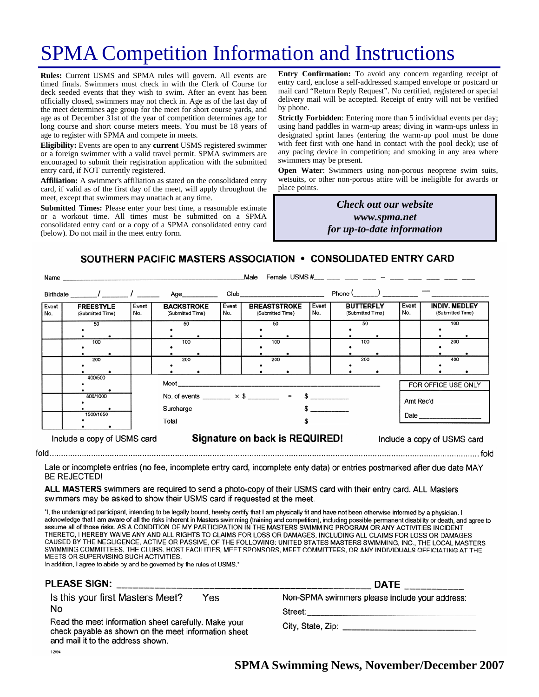# SPMA Competition Information and Instructions

**Rules:** Current USMS and SPMA rules will govern. All events are timed finals. Swimmers must check in with the Clerk of Course for deck seeded events that they wish to swim. After an event has been officially closed, swimmers may not check in. Age as of the last day of the meet determines age group for the meet for short course yards, and age as of December 31st of the year of competition determines age for long course and short course meters meets. You must be 18 years of age to register with SPMA and compete in meets.

**Eligibility:** Events are open to any **current** USMS registered swimmer or a foreign swimmer with a valid travel permit. SPMA swimmers are encouraged to submit their registration application with the submitted entry card, if NOT currently registered.

**Affiliation:** A swimmer's affiliation as stated on the consolidated entry card, if valid as of the first day of the meet, will apply throughout the meet, except that swimmers may unattach at any time.

**Submitted Times:** Please enter your best time, a reasonable estimate or a workout time. All times must be submitted on a SPMA consolidated entry card or a copy of a SPMA consolidated entry card (below). Do not mail in the meet entry form.

**Entry Confirmation:** To avoid any concern regarding receipt of entry card, enclose a self-addressed stamped envelope or postcard or mail card "Return Reply Request". No certified, registered or special delivery mail will be accepted. Receipt of entry will not be verified by phone.

**Strictly Forbidden**: Entering more than 5 individual events per day; using hand paddles in warm-up areas; diving in warm-ups unless in designated sprint lanes (entering the warm-up pool must be done with feet first with one hand in contact with the pool deck); use of any pacing device in competition; and smoking in any area where swimmers may be present.

**Open Water**: Swimmers using non-porous neoprene swim suits, wetsuits, or other non-porous attire will be ineligible for awards or place points.

> *Check out our website www.spma.net for up-to-date information*

> > $f \circ f$

SOUTHERN PACIFIC MASTERS ASSOCIATION . CONSOLIDATED ENTRY CARD

|                             | Name                                 |              |                                                               |                                                                                                                                       |       | Male                                    |                                   |              |                                      |  |              |                                          |                   |
|-----------------------------|--------------------------------------|--------------|---------------------------------------------------------------|---------------------------------------------------------------------------------------------------------------------------------------|-------|-----------------------------------------|-----------------------------------|--------------|--------------------------------------|--|--------------|------------------------------------------|-------------------|
|                             | Birthdate $\frac{1}{\sqrt{2\pi}}$    |              | Age__________                                                 |                                                                                                                                       |       |                                         | Club ____________________________ |              | $Phone ($ $)$ $ -$                   |  |              |                                          |                   |
| Event<br>No.                | <b>FREESTYLE</b><br>(Submitted Time) | Event<br>No. | <b>BACKSTROKE</b><br>(Submitted Time)                         | No.                                                                                                                                   | Event | <b>BREASTSTROKE</b><br>(Submitted Time) |                                   | Event<br>No. | <b>BUTTERFLY</b><br>(Submitted Time) |  | Event<br>No. | <b>INDIV. MEDLEY</b><br>(Submitted Time) |                   |
|                             | 50<br>100<br>200                     |              | 50<br>100<br>200                                              |                                                                                                                                       |       |                                         | 50<br>100<br>200                  |              | 50<br>100<br>200                     |  |              |                                          | 100<br>200<br>400 |
|                             | 400/500<br>800/1000<br>1500/1650     |              |                                                               | FOR OFFICE USE ONLY<br>No. of events ________ $\times$ \$ ________ = \$ _________<br>Amt Rec'd<br>Surcharge<br>$\sim$ $\sim$<br>Total |       |                                         |                                   |              |                                      |  |              |                                          |                   |
| Include a copy of USMS card |                                      |              | Signature on back is REQUIRED!<br>Include a copy of USMS card |                                                                                                                                       |       |                                         |                                   |              |                                      |  |              |                                          |                   |

Late or incomplete entries (no fee, incomplete entry card, incomplete enty data) or entries postmarked after due date MAY **BE REJECTED!** 

ALL MASTERS swimmers are required to send a photo-copy of their USMS card with their entry card. ALL Masters swimmers may be asked to show their USMS card if requested at the meet.

"I, the undersigned participant, intending to be legally bound, hereby certify that I am physically fit and have not been otherwise informed by a physician. I acknowledge that I am aware of all the risks inherent in Masters swimming (training and competition), including possible permanent disability or death, and agree to assume all of those risks. AS A CONDITION OF MY PARTICIPATION IN THE MASTERS SWIMMING PROGRAM OR ANY ACTIVITIES INCIDENT THERETO, I HEREBY WAIVE ANY AND ALL RIGHTS TO CLAIMS FOR LOSS OR DAMAGES, INCLUDING ALL CLAIMS FOR LOSS OR DAMAGES CAUSED BY THE NEGLIGENCE, ACTIVE OR PASSIVE, OF THE FOLLOWING: UNITED STATES MASTERS SWIMMING, INC., THE LOCAL MASTERS SWIMMING COMMITTEES, THE CLUBS, HOST FACILITIES, MEET SPONSORS, MEET COMMITTEES, OR ANY INDIVIDUALS OFFICIATING AT THE MEETS OR SUPERVISING SUCH ACTIVITIES.

In addition, I agree to abide by and be governed by the rules of USMS."

| PLEASE SIGN:                                                                                                                                                                                       | <b>DATE</b>                                                                                           |
|----------------------------------------------------------------------------------------------------------------------------------------------------------------------------------------------------|-------------------------------------------------------------------------------------------------------|
| Is this your first Masters Meet?<br>Yes<br>No<br>Read the meet information sheet carefully. Make your<br>check payable as shown on the meet information sheet<br>and mail it to the address shown. | Non-SPMA swimmers please include your address:<br>Street:<br>City, State, Zip: ______________________ |
| 12/94                                                                                                                                                                                              |                                                                                                       |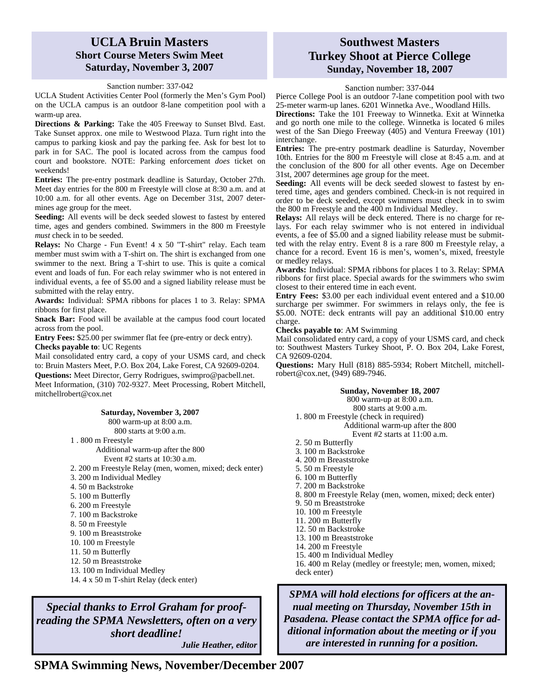### **UCLA Bruin Masters Short Course Meters Swim Meet Saturday, November 3, 2007**

### Sanction number: 337-042

UCLA Student Activities Center Pool (formerly the Men's Gym Pool) on the UCLA campus is an outdoor 8-lane competition pool with a warm-up area.

**Directions & Parking:** Take the 405 Freeway to Sunset Blvd. East. Take Sunset approx. one mile to Westwood Plaza. Turn right into the campus to parking kiosk and pay the parking fee. Ask for best lot to park in for SAC. The pool is located across from the campus food court and bookstore. NOTE: Parking enforcement *does* ticket on weekends!

**Entries:** The pre-entry postmark deadline is Saturday, October 27th. Meet day entries for the 800 m Freestyle will close at 8:30 a.m. and at 10:00 a.m. for all other events. Age on December 31st, 2007 determines age group for the meet.

**Seeding:** All events will be deck seeded slowest to fastest by entered time, ages and genders combined. Swimmers in the 800 m Freestyle *must* check in to be seeded.

**Relays:** No Charge - Fun Event! 4 x 50 "T-shirt" relay. Each team member must swim with a T-shirt on. The shirt is exchanged from one swimmer to the next. Bring a T-shirt to use. This is quite a comical event and loads of fun. For each relay swimmer who is not entered in individual events, a fee of \$5.00 and a signed liability release must be submitted with the relay entry.

**Awards:** Individual: SPMA ribbons for places 1 to 3. Relay: SPMA ribbons for first place.

**Snack Bar:** Food will be available at the campus food court located across from the pool.

**Entry Fees:** \$25.00 per swimmer flat fee (pre-entry or deck entry). **Checks payable to**: UC Regents

Mail consolidated entry card, a copy of your USMS card, and check to: Bruin Masters Meet, P.O. Box 204, Lake Forest, CA 92609-0204.

**Questions:** Meet Director, Gerry Rodrigues, swimpro@pacbell.net. Meet Information, (310) 702-9327. Meet Processing, Robert Mitchell, mitchellrobert@cox.net

#### **Saturday, November 3, 2007**

800 warm-up at 8:00 a.m.

800 starts at 9:00 a.m.

1 . 800 m Freestyle

Additional warm-up after the 800

- Event #2 starts at 10:30 a.m.
- 2. 200 m Freestyle Relay (men, women, mixed; deck enter)
- 3. 200 m Individual Medley
- 4. 50 m Backstroke
- 5. 100 m Butterfly
- 6. 200 m Freestyle
- 7. 100 m Backstroke
- 8. 50 m Freestyle
- 9. 100 m Breaststroke
- 10. 100 m Freestyle
- 11. 50 m Butterfly
- 12. 50 m Breaststroke
- 13. 100 m Individual Medley
- 14. 4 x 50 m T-shirt Relay (deck enter)

*Special thanks to Errol Graham for proofreading the SPMA Newsletters, often on a very short deadline!* 

*Julie Heather, editor* 

### **Southwest Masters Turkey Shoot at Pierce College Sunday, November 18, 2007**

### Sanction number: 337-044

Pierce College Pool is an outdoor 7-lane competition pool with two 25-meter warm-up lanes. 6201 Winnetka Ave., Woodland Hills.

**Directions:** Take the 101 Freeway to Winnetka. Exit at Winnetka and go north one mile to the college. Winnetka is located 6 miles west of the San Diego Freeway (405) and Ventura Freeway (101) interchange.

**Entries:** The pre-entry postmark deadline is Saturday, November 10th. Entries for the 800 m Freestyle will close at 8:45 a.m. and at the conclusion of the 800 for all other events. Age on December 31st, 2007 determines age group for the meet.

**Seeding:** All events will be deck seeded slowest to fastest by entered time, ages and genders combined. Check-in is not required in order to be deck seeded, except swimmers must check in to swim the 800 m Freestyle and the 400 m Individual Medley.

**Relays:** All relays will be deck entered. There is no charge for relays. For each relay swimmer who is not entered in individual events, a fee of \$5.00 and a signed liability release must be submitted with the relay entry. Event 8 is a rare 800 m Freestyle relay, a chance for a record. Event 16 is men's, women's, mixed, freestyle or medley relays.

**Awards:** Individual: SPMA ribbons for places 1 to 3. Relay: SPMA ribbons for first place. Special awards for the swimmers who swim closest to their entered time in each event.

**Entry Fees:** \$3.00 per each individual event entered and a \$10.00 surcharge per swimmer. For swimmers in relays only, the fee is \$5.00. NOTE: deck entrants will pay an additional \$10.00 entry charge.

#### **Checks payable to**: AM Swimming

Mail consolidated entry card, a copy of your USMS card, and check to: Southwest Masters Turkey Shoot, P. O. Box 204, Lake Forest, CA 92609-0204.

**Questions:** Mary Hull (818) 885-5934; Robert Mitchell, mitchellrobert@cox.net, (949) 689-7946.

#### **Sunday, November 18, 2007**

800 warm-up at 8:00 a.m.

800 starts at 9:00 a.m.

1. 800 m Freestyle (check in required) Additional warm-up after the 800

Event #2 starts at 11:00 a.m.

- 2. 50 m Butterfly
- 3. 100 m Backstroke
- 4. 200 m Breaststroke
- 5. 50 m Freestyle
- 6. 100 m Butterfly
- 7. 200 m Backstroke
- 
- 8. 800 m Freestyle Relay (men, women, mixed; deck enter)
- 9. 50 m Breaststroke 10. 100 m Freestyle
- 11. 200 m Butterfly
- 12. 50 m Backstroke
- 13. 100 m Breaststroke
- 14. 200 m Freestyle
- 15. 400 m Individual Medley
- 

16. 400 m Relay (medley or freestyle; men, women, mixed; deck enter)

*SPMA will hold elections for officers at the annual meeting on Thursday, November 15th in Pasadena. Please contact the SPMA office for additional information about the meeting or if you are interested in running for a position.* 

**SPMA Swimming News, November/December 2007**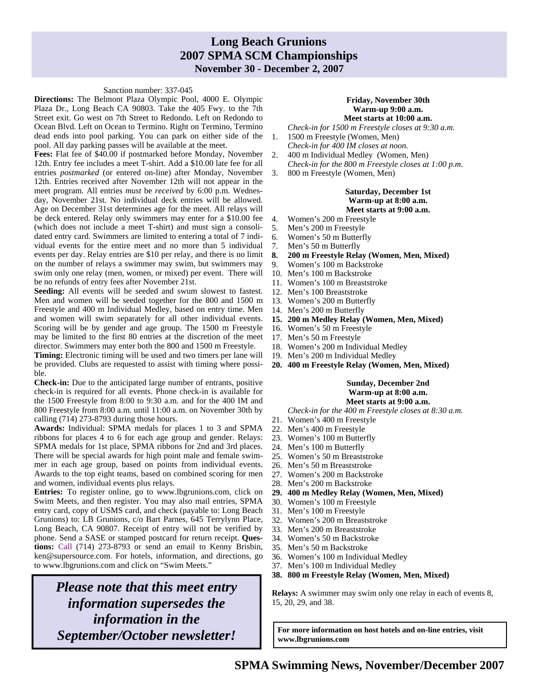### **Long Beach Grunions 2007 SPMA SCM Championships November 30 - December 2, 2007**

#### Sanction number: 337-045

**Directions:** The Belmont Plaza Olympic Pool, 4000 E. Olympic Plaza Dr., Long Beach CA 90803. Take the 405 Fwy. to the 7th Street exit. Go west on 7th Street to Redondo. Left on Redondo to Ocean Blvd. Left on Ocean to Termino. Right on Termino, Termino dead ends into pool parking. You can park on either side of the pool. All day parking passes will be available at the meet.

**Fees:** Flat fee of \$40.00 if postmarked before Monday, November 12th. Entry fee includes a meet T-shirt. Add a \$10.00 late fee for all entries *postmarked* (or entered on-line) after Monday, November 12th. Entries received after November 12th will not appear in the meet program. All entries *must* be *received* by 6:00 p.m. Wednesday, November 21st. No individual deck entries will be allowed. Age on December 31st determines age for the meet. All relays will be deck entered. Relay only swimmers may enter for a \$10.00 fee (which does not include a meet T-shirt) and must sign a consolidated entry card. Swimmers are limited to entering a total of 7 individual events for the entire meet and no more than 5 individual events per day. Relay entries are \$10 per relay, and there is no limit on the number of relays a swimmer may swim, but swimmers may swim only one relay (men, women, or mixed) per event. There will be no refunds of entry fees after November 21st.

**Seeding:** All events will be seeded and swum slowest to fastest. Men and women will be seeded together for the 800 and 1500 m Freestyle and 400 m Individual Medley, based on entry time. Men and women will swim separately for all other individual events. Scoring will be by gender and age group. The 1500 m Freestyle may be limited to the first 80 entries at the discretion of the meet director. Swimmers may enter both the 800 and 1500 m Freestyle.

**Timing:** Electronic timing will be used and two timers per lane will be provided. Clubs are requested to assist with timing where possible.

**Check-in:** Due to the anticipated large number of entrants, positive check-in is required for all events. Phone check-in is available for the 1500 Freestyle from 8:00 to 9:30 a.m. and for the 400 IM and 800 Freestyle from 8:00 a.m. until 11:00 a.m. on November 30th by calling (714) 273-8793 during those hours.

**Awards:** Individual: SPMA medals for places 1 to 3 and SPMA ribbons for places 4 to 6 for each age group and gender. Relays: SPMA medals for 1st place, SPMA ribbons for 2nd and 3rd places. There will be special awards for high point male and female swimmer in each age group, based on points from individual events. Awards to the top eight teams, based on combined scoring for men and women, individual events plus relays.

**Entries:** To register online, go to www.lbgrunions.com, click on Swim Meets, and then register. You may also mail entries, SPMA entry card, copy of USMS card, and check (payable to: Long Beach Grunions) to: LB Grunions, c/o Bart Parnes, 645 Terrylynn Place, Long Beach, CA 90807. Receipt of entry will not be verified by phone. Send a SASE or stamped postcard for return receipt. **Questions:** Call (714) 273-8793 or send an email to Kenny Brisbin, ken@supersource.com. For hotels, information, and directions, go to www.lbgrunions.com and click on "Swim Meets."

*Please note that this meet entry information supersedes the information in the September/October newsletter!* 

#### **Friday, November 30th Warm-up 9:00 a.m. Meet starts at 10:00 a.m.**

- *Check-in for 1500 m Freestyle closes at 9:30 a.m*. 1. 1500 m Freestyle (Women, Men)
- *Check-in for 400 IM closes at noon.*
- 2. 400 m Individual Medley (Women, Men) *Check-in for the 800 m Freestyle closes at 1:00 p.m*.
- 3. 800 m Freestyle (Women, Men)

#### **Saturday, December 1st Warm-up at 8:00 a.m. Meet starts at 9:00 a.m.**

- 4. Women's 200 m Freestyle
- 5. Men's 200 m Freestyle
- 6. Women's 50 m Butterfly
- 7. Men's 50 m Butterfly
- **8. 200 m Freestyle Relay (Women, Men, Mixed)**
- 9. Women's 100 m Backstroke
- 10. Men's 100 m Backstroke
- 11. Women's 100 m Breaststroke
- 12. Men's 100 Breaststroke
- 13. Women's 200 m Butterfly
- 14. Men's 200 m Butterfly
- **15. 200 m Medley Relay (Women, Men, Mixed)**
- 16. Women's 50 m Freestyle
- 17. Men's 50 m Freestyle
- 18. Women's 200 m Individual Medley
- 19. Men's 200 m Individual Medley
- **20. 400 m Freestyle Relay (Women, Men, Mixed)**

#### **Sunday, December 2nd Warm-up at 8:00 a.m. Meet starts at 9:00 a.m.**

#### *Check-in for the 400 m Freestyle closes at 8:30 a.m.*

- 21. Women's 400 m Freestyle
- 22. Men's 400 m Freestyle
- 23. Women's 100 m Butterfly
- 24. Men's 100 m Butterfly
- 25. Women's 50 m Breaststroke
- 26. Men's 50 m Breaststroke
- 27. Women's 200 m Backstroke
- 28. Men's 200 m Backstroke
- **29. 400 m Medley Relay (Women, Men, Mixed)**
- 30. Women's 100 m Freestyle
- 31. Men's 100 m Freestyle
- 32. Women's 200 m Breaststroke
- 33. Men's 200 m Breaststroke
- 34. Women's 50 m Backstroke
- 35. Men's 50 m Backstroke
- 36. Women's 100 m Individual Medley
- 37. Men's 100 m Individual Medley
- **38. 800 m Freestyle Relay (Women, Men, Mixed)**

**Relays:** A swimmer may swim only one relay in each of events 8, 15, 20, 29, and 38.

**For more information on host hotels and on-line entries, visit www.lbgrunions.com**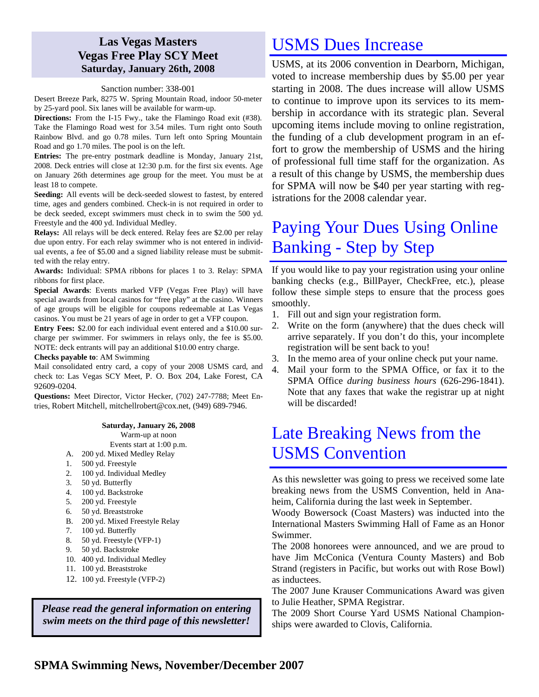### **Las Vegas Masters Vegas Free Play SCY Meet Saturday, January 26th, 2008**

### Sanction number: 338-001

Desert Breeze Park, 8275 W. Spring Mountain Road, indoor 50-meter by 25-yard pool. Six lanes will be available for warm-up.

**Directions:** From the I-15 Fwy., take the Flamingo Road exit (#38). Take the Flamingo Road west for 3.54 miles. Turn right onto South Rainbow Blvd. and go 0.78 miles. Turn left onto Spring Mountain Road and go 1.70 miles. The pool is on the left.

**Entries:** The pre-entry postmark deadline is Monday, January 21st, 2008. Deck entries will close at 12:30 p.m. for the first six events. Age on January 26th determines age group for the meet. You must be at least 18 to compete.

**Seeding:** All events will be deck-seeded slowest to fastest, by entered time, ages and genders combined. Check-in is not required in order to be deck seeded, except swimmers must check in to swim the 500 yd. Freestyle and the 400 yd. Individual Medley.

**Relays:** All relays will be deck entered. Relay fees are \$2.00 per relay due upon entry. For each relay swimmer who is not entered in individual events, a fee of \$5.00 and a signed liability release must be submitted with the relay entry.

**Awards:** Individual: SPMA ribbons for places 1 to 3. Relay: SPMA ribbons for first place.

**Special Awards**: Events marked VFP (Vegas Free Play) will have special awards from local casinos for "free play" at the casino. Winners of age groups will be eligible for coupons redeemable at Las Vegas casinos. You must be 21 years of age in order to get a VFP coupon.

**Entry Fees:** \$2.00 for each individual event entered and a \$10.00 surcharge per swimmer. For swimmers in relays only, the fee is \$5.00. NOTE: deck entrants will pay an additional \$10.00 entry charge.

**Checks payable to**: AM Swimming

Mail consolidated entry card, a copy of your 2008 USMS card, and check to: Las Vegas SCY Meet, P. O. Box 204, Lake Forest, CA 92609-0204.

**Questions:** Meet Director, Victor Hecker, (702) 247-7788; Meet Entries, Robert Mitchell, mitchellrobert@cox.net, (949) 689-7946.

### **Saturday, January 26, 2008**

Warm-up at noon

- Events start at 1:00 p.m.
- A. 200 yd. Mixed Medley Relay
- 1. 500 yd. Freestyle
- 2. 100 yd. Individual Medley
- 3. 50 yd. Butterfly
- 4. 100 yd. Backstroke
- 5. 200 yd. Freestyle
- 6. 50 yd. Breaststroke
- B. 200 yd. Mixed Freestyle Relay
- 7. 100 yd. Butterfly
- 8. 50 yd. Freestyle (VFP-1)
- 9. 50 yd. Backstroke
- 10. 400 yd. Individual Medley
- 11. 100 yd. Breaststroke
- 12. 100 yd. Freestyle (VFP-2)

*Please read the general information on entering swim meets on the third page of this newsletter!* 

## USMS Dues Increase

USMS, at its 2006 convention in Dearborn, Michigan, voted to increase membership dues by \$5.00 per year starting in 2008. The dues increase will allow USMS to continue to improve upon its services to its membership in accordance with its strategic plan. Several upcoming items include moving to online registration, the funding of a club development program in an effort to grow the membership of USMS and the hiring of professional full time staff for the organization. As a result of this change by USMS, the membership dues for SPMA will now be \$40 per year starting with registrations for the 2008 calendar year.

# Paying Your Dues Using Online Banking - Step by Step

If you would like to pay your registration using your online banking checks (e.g., BillPayer, CheckFree, etc.), please follow these simple steps to ensure that the process goes smoothly.

- 1. Fill out and sign your registration form.
- 2. Write on the form (anywhere) that the dues check will arrive separately. If you don't do this, your incomplete registration will be sent back to you!
- 3. In the memo area of your online check put your name.
- 4. Mail your form to the SPMA Office, or fax it to the SPMA Office *during business hours* (626-296-1841). Note that any faxes that wake the registrar up at night will be discarded!

# Late Breaking News from the USMS Convention

As this newsletter was going to press we received some late breaking news from the USMS Convention, held in Anaheim, California during the last week in September.

Woody Bowersock (Coast Masters) was inducted into the International Masters Swimming Hall of Fame as an Honor Swimmer.

The 2008 honorees were announced, and we are proud to have Jim McConica (Ventura County Masters) and Bob Strand (registers in Pacific, but works out with Rose Bowl) as inductees.

The 2007 June Krauser Communications Award was given to Julie Heather, SPMA Registrar.

The 2009 Short Course Yard USMS National Championships were awarded to Clovis, California.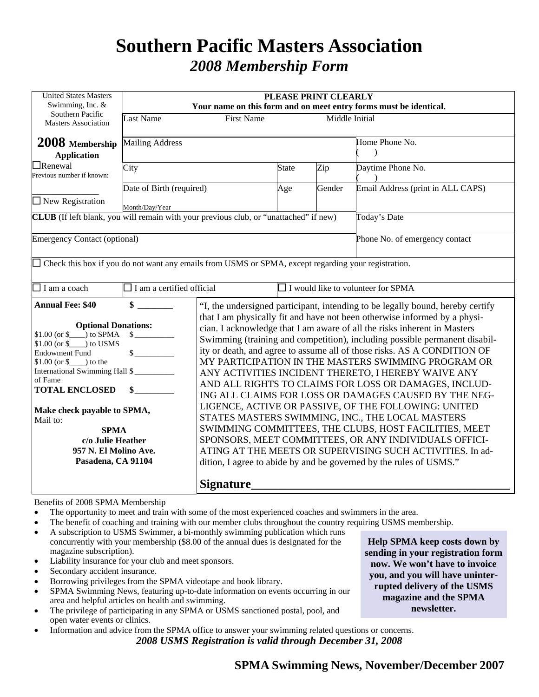# **Southern Pacific Masters Association**  *2008 Membership Form*

| <b>Last Name</b>                                                                                                                                                                                                                                                                                                                                                                                    |                                                                                              |                                                                                                                                                                                                                                                                                                                                                                                                                                                                                                                                                                                                                                                                                                                                                                                                                                                                                                                                     |        | PLEASE PRINT CLEARLY<br>Your name on this form and on meet entry forms must be identical. |  |  |  |  |  |  |  |  |
|-----------------------------------------------------------------------------------------------------------------------------------------------------------------------------------------------------------------------------------------------------------------------------------------------------------------------------------------------------------------------------------------------------|----------------------------------------------------------------------------------------------|-------------------------------------------------------------------------------------------------------------------------------------------------------------------------------------------------------------------------------------------------------------------------------------------------------------------------------------------------------------------------------------------------------------------------------------------------------------------------------------------------------------------------------------------------------------------------------------------------------------------------------------------------------------------------------------------------------------------------------------------------------------------------------------------------------------------------------------------------------------------------------------------------------------------------------------|--------|-------------------------------------------------------------------------------------------|--|--|--|--|--|--|--|--|
|                                                                                                                                                                                                                                                                                                                                                                                                     | <b>First Name</b>                                                                            |                                                                                                                                                                                                                                                                                                                                                                                                                                                                                                                                                                                                                                                                                                                                                                                                                                                                                                                                     |        | Middle Initial                                                                            |  |  |  |  |  |  |  |  |
| <b>Mailing Address</b>                                                                                                                                                                                                                                                                                                                                                                              |                                                                                              |                                                                                                                                                                                                                                                                                                                                                                                                                                                                                                                                                                                                                                                                                                                                                                                                                                                                                                                                     |        | Home Phone No.                                                                            |  |  |  |  |  |  |  |  |
| City                                                                                                                                                                                                                                                                                                                                                                                                |                                                                                              | <b>State</b><br>Age                                                                                                                                                                                                                                                                                                                                                                                                                                                                                                                                                                                                                                                                                                                                                                                                                                                                                                                 | Zip    | Daytime Phone No.                                                                         |  |  |  |  |  |  |  |  |
| Date of Birth (required)<br>$\Box$ New Registration<br>Month/Day/Year                                                                                                                                                                                                                                                                                                                               |                                                                                              |                                                                                                                                                                                                                                                                                                                                                                                                                                                                                                                                                                                                                                                                                                                                                                                                                                                                                                                                     | Gender | Email Address (print in ALL CAPS)                                                         |  |  |  |  |  |  |  |  |
|                                                                                                                                                                                                                                                                                                                                                                                                     | <b>CLUB</b> (If left blank, you will remain with your previous club, or "unattached" if new) |                                                                                                                                                                                                                                                                                                                                                                                                                                                                                                                                                                                                                                                                                                                                                                                                                                                                                                                                     |        | Today's Date                                                                              |  |  |  |  |  |  |  |  |
| <b>Emergency Contact (optional)</b>                                                                                                                                                                                                                                                                                                                                                                 |                                                                                              |                                                                                                                                                                                                                                                                                                                                                                                                                                                                                                                                                                                                                                                                                                                                                                                                                                                                                                                                     |        | Phone No. of emergency contact                                                            |  |  |  |  |  |  |  |  |
| $\Box$ Check this box if you do not want any emails from USMS or SPMA, except regarding your registration.                                                                                                                                                                                                                                                                                          |                                                                                              |                                                                                                                                                                                                                                                                                                                                                                                                                                                                                                                                                                                                                                                                                                                                                                                                                                                                                                                                     |        |                                                                                           |  |  |  |  |  |  |  |  |
|                                                                                                                                                                                                                                                                                                                                                                                                     | $\Box$ I would like to volunteer for SPMA                                                    |                                                                                                                                                                                                                                                                                                                                                                                                                                                                                                                                                                                                                                                                                                                                                                                                                                                                                                                                     |        |                                                                                           |  |  |  |  |  |  |  |  |
| $\mathbf{s}$                                                                                                                                                                                                                                                                                                                                                                                        | "I, the undersigned participant, intending to be legally bound, hereby certify               |                                                                                                                                                                                                                                                                                                                                                                                                                                                                                                                                                                                                                                                                                                                                                                                                                                                                                                                                     |        |                                                                                           |  |  |  |  |  |  |  |  |
| <b>Annual Fee: \$40</b><br><b>Optional Donations:</b><br>$$1.00$ (or $$$ ) to SPMA<br>$$1.00$ (or $$$ ) to USMS<br>$\frac{1}{2}$<br><b>Endowment Fund</b><br>$$1.00$ (or $$$ ) to the<br>International Swimming Hall \$<br>of Fame<br><b>TOTAL ENCLOSED</b><br>$\sim$<br>Make check payable to SPMA,<br>Mail to:<br><b>SPMA</b><br>c/o Julie Heather<br>957 N. El Molino Ave.<br>Pasadena, CA 91104 |                                                                                              | that I am physically fit and have not been otherwise informed by a physi-<br>cian. I acknowledge that I am aware of all the risks inherent in Masters<br>Swimming (training and competition), including possible permanent disabil-<br>ity or death, and agree to assume all of those risks. AS A CONDITION OF<br>MY PARTICIPATION IN THE MASTERS SWIMMING PROGRAM OR<br>ANY ACTIVITIES INCIDENT THERETO, I HEREBY WAIVE ANY<br>AND ALL RIGHTS TO CLAIMS FOR LOSS OR DAMAGES, INCLUD-<br>ING ALL CLAIMS FOR LOSS OR DAMAGES CAUSED BY THE NEG-<br>LIGENCE, ACTIVE OR PASSIVE, OF THE FOLLOWING: UNITED<br>STATES MASTERS SWIMMING, INC., THE LOCAL MASTERS<br>SWIMMING COMMITTEES, THE CLUBS, HOST FACILITIES, MEET<br>SPONSORS, MEET COMMITTEES, OR ANY INDIVIDUALS OFFICI-<br>ATING AT THE MEETS OR SUPERVISING SUCH ACTIVITIES. In ad-<br>dition, I agree to abide by and be governed by the rules of USMS."<br><b>Signature</b> |        |                                                                                           |  |  |  |  |  |  |  |  |
|                                                                                                                                                                                                                                                                                                                                                                                                     |                                                                                              | $\Box$ I am a certified official                                                                                                                                                                                                                                                                                                                                                                                                                                                                                                                                                                                                                                                                                                                                                                                                                                                                                                    |        |                                                                                           |  |  |  |  |  |  |  |  |

### Benefits of 2008 SPMA Membership

- The opportunity to meet and train with some of the most experienced coaches and swimmers in the area.
- The benefit of coaching and training with our member clubs throughout the country requiring USMS membership.
- A subscription to USMS Swimmer, a bi-monthly swimming publication which runs concurrently with your membership (\$8.00 of the annual dues is designated for the magazine subscription).
- Liability insurance for your club and meet sponsors.
- Secondary accident insurance.
- Borrowing privileges from the SPMA videotape and book library.
- SPMA Swimming News, featuring up-to-date information on events occurring in our area and helpful articles on health and swimming.
- The privilege of participating in any SPMA or USMS sanctioned postal, pool, and open water events or clinics.
- Information and advice from the SPMA office to answer your swimming related questions or concerns. *2008 USMS Registration is valid through December 31, 2008*

**Help SPMA keep costs down by sending in your registration form now. We won't have to invoice you, and you will have uninterrupted delivery of the USMS magazine and the SPMA newsletter.**